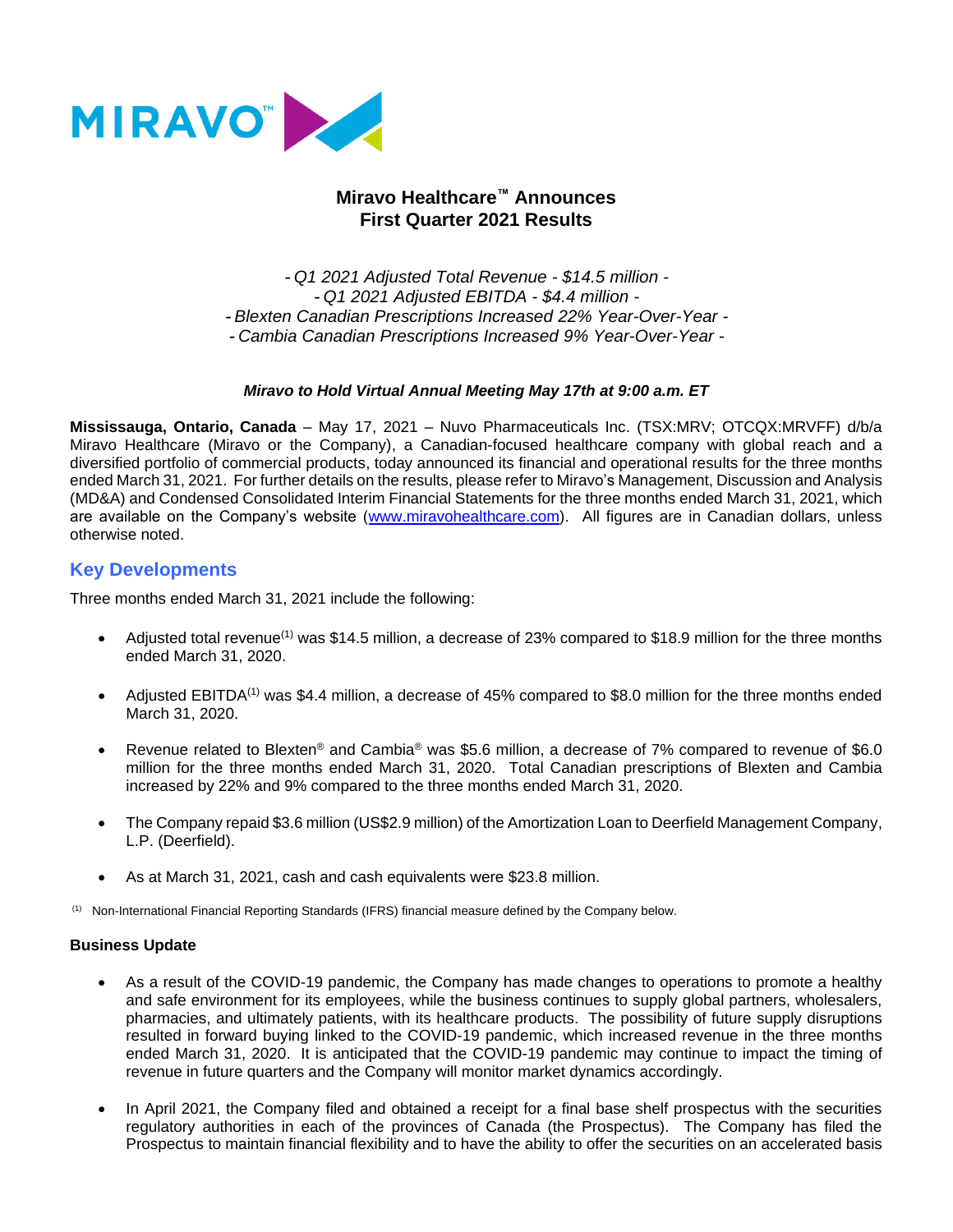

# **Miravo Healthcare™ Announces First Quarter 2021 Results**

- *Q1 2021 Adjusted Total Revenue - \$14.5 million -* - *Q1 2021 Adjusted EBITDA - \$4.4 million -* - *Blexten Canadian Prescriptions Increased 22% Year-Over-Year -* - *Cambia Canadian Prescriptions Increased 9% Year-Over-Year -*

### *Miravo to Hold Virtual Annual Meeting May 17th at 9:00 a.m. ET*

**Mississauga, Ontario, Canada** – May 17, 2021 – Nuvo Pharmaceuticals Inc. (TSX:MRV; OTCQX:MRVFF) d/b/a Miravo Healthcare (Miravo or the Company), a Canadian-focused healthcare company with global reach and a diversified portfolio of commercial products, today announced its financial and operational results for the three months ended March 31, 2021. For further details on the results, please refer to Miravo's Management, Discussion and Analysis (MD&A) and Condensed Consolidated Interim Financial Statements for the three months ended March 31, 2021, which are available on the Company's website [\(www.miravohealthcare.com\)](http://www.miravohealthcare.com/). All figures are in Canadian dollars, unless otherwise noted.

### **Key Developments**

Three months ended March 31, 2021 include the following:

- Adjusted total revenue<sup>(1)</sup> was \$14.5 million, a decrease of 23% compared to \$18.9 million for the three months ended March 31, 2020.
- Adjusted EBITDA<sup>(1)</sup> was \$4.4 million, a decrease of 45% compared to \$8.0 million for the three months ended March 31, 2020.
- Revenue related to Blexten<sup>®</sup> and Cambia<sup>®</sup> was \$5.6 million, a decrease of 7% compared to revenue of \$6.0 million for the three months ended March 31, 2020. Total Canadian prescriptions of Blexten and Cambia increased by 22% and 9% compared to the three months ended March 31, 2020.
- The Company repaid \$3.6 million (US\$2.9 million) of the Amortization Loan to Deerfield Management Company, L.P. (Deerfield).
- As at March 31, 2021, cash and cash equivalents were \$23.8 million.

(1) Non-International Financial Reporting Standards (IFRS) financial measure defined by the Company below.

## **Business Update**

- As a result of the COVID-19 pandemic, the Company has made changes to operations to promote a healthy and safe environment for its employees, while the business continues to supply global partners, wholesalers, pharmacies, and ultimately patients, with its healthcare products. The possibility of future supply disruptions resulted in forward buying linked to the COVID-19 pandemic, which increased revenue in the three months ended March 31, 2020. It is anticipated that the COVID-19 pandemic may continue to impact the timing of revenue in future quarters and the Company will monitor market dynamics accordingly.
- In April 2021, the Company filed and obtained a receipt for a final base shelf prospectus with the securities regulatory authorities in each of the provinces of Canada (the Prospectus). The Company has filed the Prospectus to maintain financial flexibility and to have the ability to offer the securities on an accelerated basis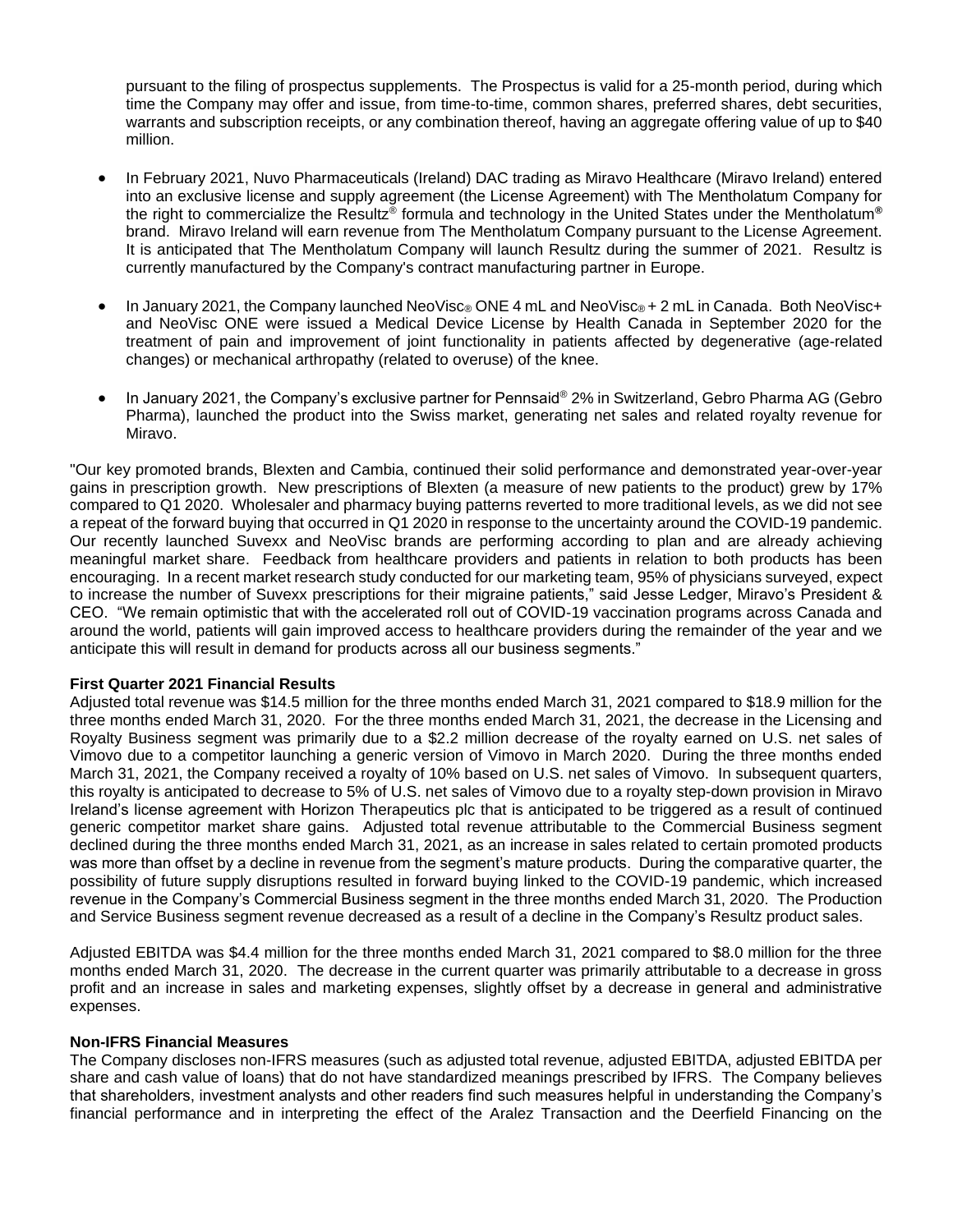pursuant to the filing of prospectus supplements. The Prospectus is valid for a 25-month period, during which time the Company may offer and issue, from time-to-time, common shares, preferred shares, debt securities, warrants and subscription receipts, or any combination thereof, having an aggregate offering value of up to \$40 million.

- In February 2021, Nuvo Pharmaceuticals (Ireland) DAC trading as Miravo Healthcare (Miravo Ireland) entered into an exclusive license and supply agreement (the License Agreement) with The Mentholatum Company for the right to commercialize the Resultz® formula and technology in the United States under the Mentholatum**®** brand. Miravo Ireland will earn revenue from The Mentholatum Company pursuant to the License Agreement. It is anticipated that The Mentholatum Company will launch Resultz during the summer of 2021. Resultz is currently manufactured by the Company's contract manufacturing partner in Europe.
- In January 2021, the Company launched NeoVisc® ONE 4 mL and NeoVisc® + 2 mL in Canada. Both NeoVisc+ and NeoVisc ONE were issued a Medical Device License by Health Canada in September 2020 for the treatment of pain and improvement of joint functionality in patients affected by degenerative (age-related changes) or mechanical arthropathy (related to overuse) of the knee.
- In January 2021, the Company's exclusive partner for Pennsaid® 2% in Switzerland, Gebro Pharma AG (Gebro Pharma), launched the product into the Swiss market, generating net sales and related royalty revenue for Miravo.

"Our key promoted brands, Blexten and Cambia, continued their solid performance and demonstrated year-over-year gains in prescription growth. New prescriptions of Blexten (a measure of new patients to the product) grew by 17% compared to Q1 2020. Wholesaler and pharmacy buying patterns reverted to more traditional levels, as we did not see a repeat of the forward buying that occurred in Q1 2020 in response to the uncertainty around the COVID-19 pandemic. Our recently launched Suvexx and NeoVisc brands are performing according to plan and are already achieving meaningful market share. Feedback from healthcare providers and patients in relation to both products has been encouraging. In a recent market research study conducted for our marketing team, 95% of physicians surveyed, expect to increase the number of Suvexx prescriptions for their migraine patients," said Jesse Ledger, Miravo's President & CEO. "We remain optimistic that with the accelerated roll out of COVID-19 vaccination programs across Canada and around the world, patients will gain improved access to healthcare providers during the remainder of the year and we anticipate this will result in demand for products across all our business segments."

#### **First Quarter 2021 Financial Results**

Adjusted total revenue was \$14.5 million for the three months ended March 31, 2021 compared to \$18.9 million for the three months ended March 31, 2020. For the three months ended March 31, 2021, the decrease in the Licensing and Royalty Business segment was primarily due to a \$2.2 million decrease of the royalty earned on U.S. net sales of Vimovo due to a competitor launching a generic version of Vimovo in March 2020. During the three months ended March 31, 2021, the Company received a royalty of 10% based on U.S. net sales of Vimovo. In subsequent quarters, this royalty is anticipated to decrease to 5% of U.S. net sales of Vimovo due to a royalty step-down provision in Miravo Ireland's license agreement with Horizon Therapeutics plc that is anticipated to be triggered as a result of continued generic competitor market share gains. Adjusted total revenue attributable to the Commercial Business segment declined during the three months ended March 31, 2021, as an increase in sales related to certain promoted products was more than offset by a decline in revenue from the segment's mature products. During the comparative quarter, the possibility of future supply disruptions resulted in forward buying linked to the COVID-19 pandemic, which increased revenue in the Company's Commercial Business segment in the three months ended March 31, 2020. The Production and Service Business segment revenue decreased as a result of a decline in the Company's Resultz product sales.

Adjusted EBITDA was \$4.4 million for the three months ended March 31, 2021 compared to \$8.0 million for the three months ended March 31, 2020. The decrease in the current quarter was primarily attributable to a decrease in gross profit and an increase in sales and marketing expenses, slightly offset by a decrease in general and administrative expenses.

#### **Non-IFRS Financial Measures**

The Company discloses non-IFRS measures (such as adjusted total revenue, adjusted EBITDA, adjusted EBITDA per share and cash value of loans) that do not have standardized meanings prescribed by IFRS. The Company believes that shareholders, investment analysts and other readers find such measures helpful in understanding the Company's financial performance and in interpreting the effect of the Aralez Transaction and the Deerfield Financing on the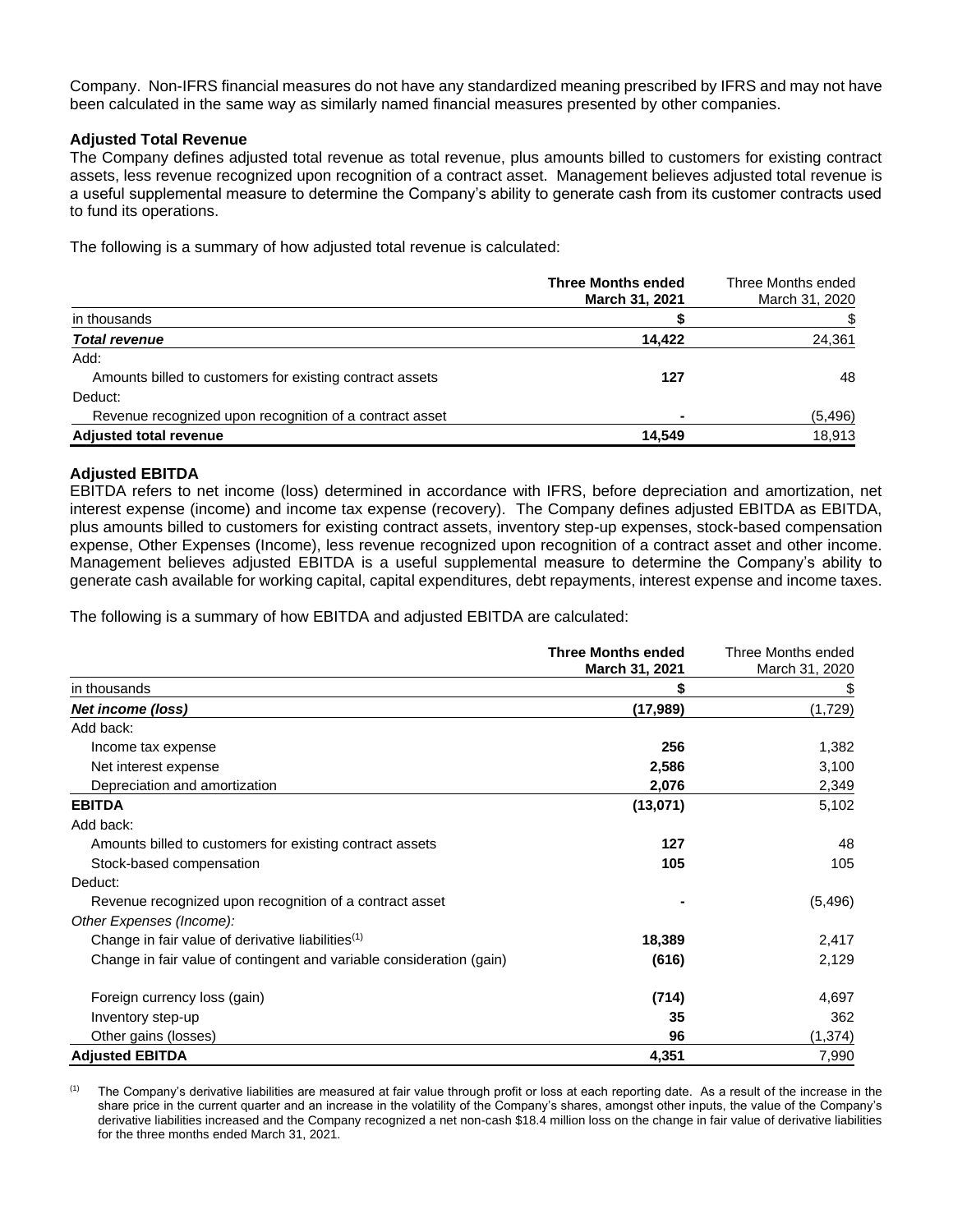Company. Non-IFRS financial measures do not have any standardized meaning prescribed by IFRS and may not have been calculated in the same way as similarly named financial measures presented by other companies.

#### **Adjusted Total Revenue**

The Company defines adjusted total revenue as total revenue, plus amounts billed to customers for existing contract assets, less revenue recognized upon recognition of a contract asset. Management believes adjusted total revenue is a useful supplemental measure to determine the Company's ability to generate cash from its customer contracts used to fund its operations.

The following is a summary of how adjusted total revenue is calculated:

|                                                          | <b>Three Months ended</b><br>March 31, 2021 | Three Months ended<br>March 31, 2020 |
|----------------------------------------------------------|---------------------------------------------|--------------------------------------|
| in thousands                                             |                                             |                                      |
| <b>Total revenue</b>                                     | 14.422                                      | 24,361                               |
| Add:                                                     |                                             |                                      |
| Amounts billed to customers for existing contract assets | 127                                         | 48                                   |
| Deduct:                                                  |                                             |                                      |
| Revenue recognized upon recognition of a contract asset  |                                             | (5, 496)                             |
| <b>Adjusted total revenue</b>                            | 14,549                                      | 18,913                               |

#### **Adjusted EBITDA**

EBITDA refers to net income (loss) determined in accordance with IFRS, before depreciation and amortization, net interest expense (income) and income tax expense (recovery). The Company defines adjusted EBITDA as EBITDA, plus amounts billed to customers for existing contract assets, inventory step-up expenses, stock-based compensation expense, Other Expenses (Income), less revenue recognized upon recognition of a contract asset and other income. Management believes adjusted EBITDA is a useful supplemental measure to determine the Company's ability to generate cash available for working capital, capital expenditures, debt repayments, interest expense and income taxes.

The following is a summary of how EBITDA and adjusted EBITDA are calculated:

|                                                                      | <b>Three Months ended</b><br>March 31, 2021 | Three Months ended<br>March 31, 2020 |
|----------------------------------------------------------------------|---------------------------------------------|--------------------------------------|
| in thousands                                                         | \$                                          | \$                                   |
| Net income (loss)                                                    | (17,989)                                    | (1,729)                              |
| Add back:                                                            |                                             |                                      |
| Income tax expense                                                   | 256                                         | 1,382                                |
| Net interest expense                                                 | 2,586                                       | 3,100                                |
| Depreciation and amortization                                        | 2,076                                       | 2,349                                |
| <b>EBITDA</b>                                                        | (13,071)                                    | 5,102                                |
| Add back:                                                            |                                             |                                      |
| Amounts billed to customers for existing contract assets             | 127                                         | 48                                   |
| Stock-based compensation                                             | 105                                         | 105                                  |
| Deduct:                                                              |                                             |                                      |
| Revenue recognized upon recognition of a contract asset              |                                             | (5, 496)                             |
| Other Expenses (Income):                                             |                                             |                                      |
| Change in fair value of derivative liabilities <sup>(1)</sup>        | 18,389                                      | 2,417                                |
| Change in fair value of contingent and variable consideration (gain) | (616)                                       | 2,129                                |
| Foreign currency loss (gain)                                         | (714)                                       | 4,697                                |
| Inventory step-up                                                    | 35                                          | 362                                  |
| Other gains (losses)                                                 | 96                                          | (1, 374)                             |
| <b>Adjusted EBITDA</b>                                               | 4,351                                       | 7,990                                |

 $<sup>(1)</sup>$  The Company's derivative liabilities are measured at fair value through profit or loss at each reporting date. As a result of the increase in the</sup> share price in the current quarter and an increase in the volatility of the Company's shares, amongst other inputs, the value of the Company's derivative liabilities increased and the Company recognized a net non-cash \$18.4 million loss on the change in fair value of derivative liabilities for the three months ended March 31, 2021.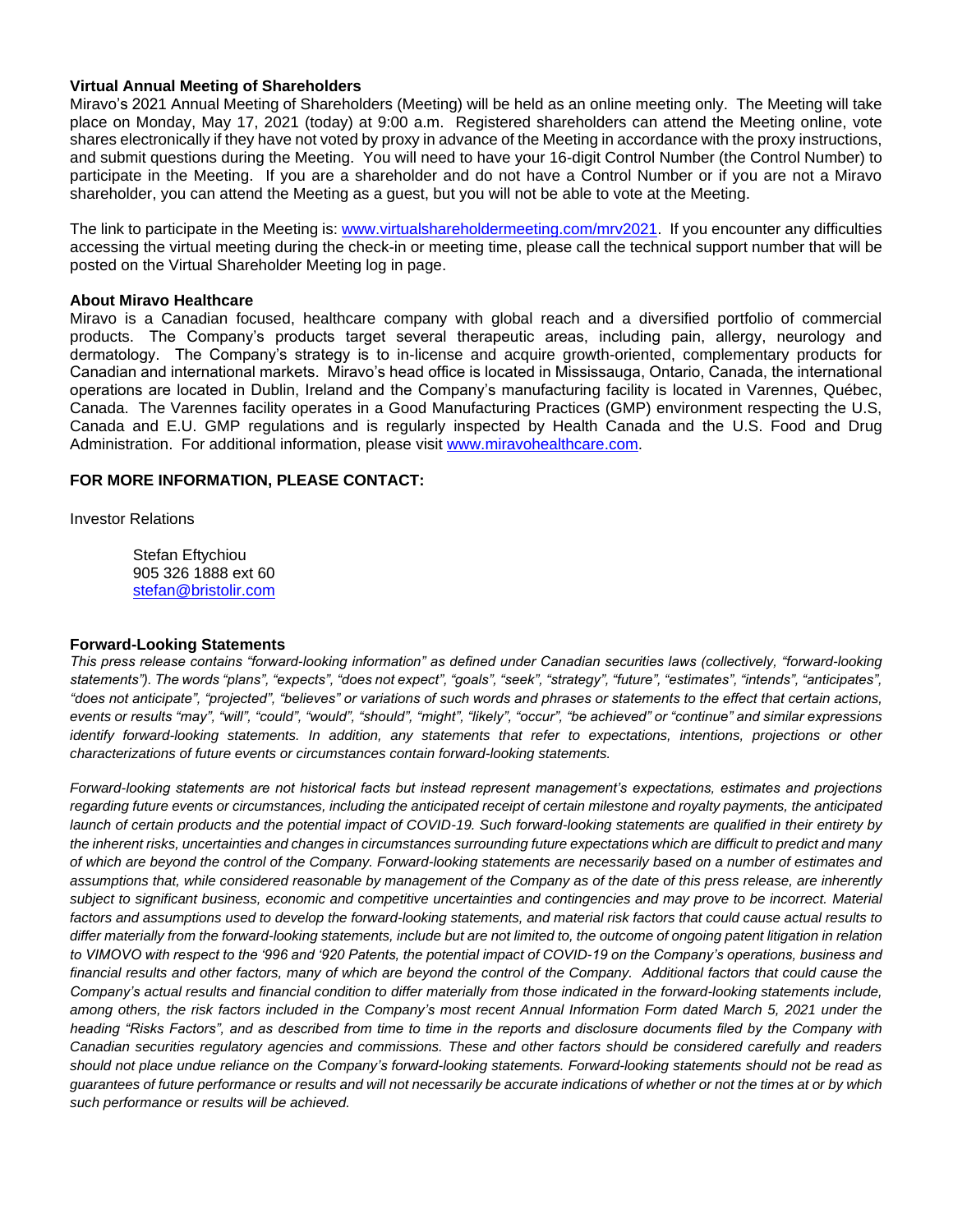#### **Virtual Annual Meeting of Shareholders**

Miravo's 2021 Annual Meeting of Shareholders (Meeting) will be held as an online meeting only. The Meeting will take place on Monday, May 17, 2021 (today) at 9:00 a.m. Registered shareholders can attend the Meeting online, vote shares electronically if they have not voted by proxy in advance of the Meeting in accordance with the proxy instructions, and submit questions during the Meeting. You will need to have your 16-digit Control Number (the Control Number) to participate in the Meeting. If you are a shareholder and do not have a Control Number or if you are not a Miravo shareholder, you can attend the Meeting as a guest, but you will not be able to vote at the Meeting.

The link to participate in the Meeting is[: www.virtualshareholdermeeting.com/mrv2021.](http://www.virtualshareholdermeeting.com/mrv2021) If you encounter any difficulties accessing the virtual meeting during the check-in or meeting time, please call the technical support number that will be posted on the Virtual Shareholder Meeting log in page.

#### **About Miravo Healthcare**

Miravo is a Canadian focused, healthcare company with global reach and a diversified portfolio of commercial products. The Company's products target several therapeutic areas, including pain, allergy, neurology and dermatology. The Company's strategy is to in-license and acquire growth-oriented, complementary products for Canadian and international markets. Miravo's head office is located in Mississauga, Ontario, Canada, the international operations are located in Dublin, Ireland and the Company's manufacturing facility is located in Varennes, Québec, Canada. The Varennes facility operates in a Good Manufacturing Practices (GMP) environment respecting the U.S, Canada and E.U. GMP regulations and is regularly inspected by Health Canada and the U.S. Food and Drug Administration. For additional information, please visit [www.miravohealthcare.com.](http://www.miravohealthcare.com/)

### **FOR MORE INFORMATION, PLEASE CONTACT:**

Investor Relations

Stefan Eftychiou 905 326 1888 ext 60 [stefan@bristolir.com](mailto:stefan@bristolir.com)

#### **Forward-Looking Statements**

*This press release contains "forward-looking information" as defined under Canadian securities laws (collectively, "forward-looking statements"). The words "plans", "expects", "does not expect", "goals", "seek", "strategy", "future", "estimates", "intends", "anticipates", "does not anticipate", "projected", "believes" or variations of such words and phrases or statements to the effect that certain actions, events or results "may", "will", "could", "would", "should", "might", "likely", "occur", "be achieved" or "continue" and similar expressions identify forward-looking statements. In addition, any statements that refer to expectations, intentions, projections or other characterizations of future events or circumstances contain forward-looking statements.* 

*Forward-looking statements are not historical facts but instead represent management's expectations, estimates and projections regarding future events or circumstances, including the anticipated receipt of certain milestone and royalty payments, the anticipated launch of certain products and the potential impact of COVID-19. Such forward-looking statements are qualified in their entirety by the inherent risks, uncertainties and changes in circumstances surrounding future expectations which are difficult to predict and many of which are beyond the control of the Company. Forward-looking statements are necessarily based on a number of estimates and assumptions that, while considered reasonable by management of the Company as of the date of this press release, are inherently subject to significant business, economic and competitive uncertainties and contingencies and may prove to be incorrect. Material factors and assumptions used to develop the forward-looking statements, and material risk factors that could cause actual results to differ materially from the forward-looking statements, include but are not limited to, the outcome of ongoing patent litigation in relation to VIMOVO with respect to the '996 and '920 Patents, the potential impact of COVID-19 on the Company's operations, business and financial results and other factors, many of which are beyond the control of the Company. Additional factors that could cause the Company's actual results and financial condition to differ materially from those indicated in the forward-looking statements include, among others, the risk factors included in the Company's most recent Annual Information Form dated March 5, 2021 under the heading "Risks Factors", and as described from time to time in the reports and disclosure documents filed by the Company with Canadian securities regulatory agencies and commissions. These and other factors should be considered carefully and readers should not place undue reliance on the Company's forward-looking statements. Forward-looking statements should not be read as guarantees of future performance or results and will not necessarily be accurate indications of whether or not the times at or by which such performance or results will be achieved.*